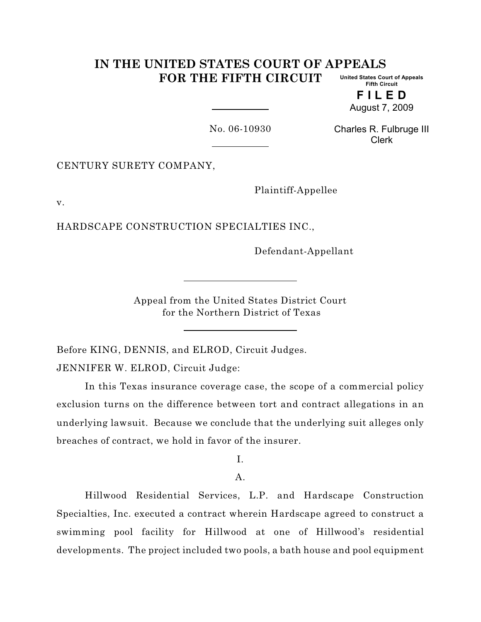#### **IN THE UNITED STATES COURT OF APPEALS FOR THE FIFTH CIRCUIT United States Court of Appeals Fifth Circuit**

**F I L E D** August 7, 2009

No. 06-10930

Charles R. Fulbruge III Clerk

CENTURY SURETY COMPANY,

Plaintiff-Appellee

v.

HARDSCAPE CONSTRUCTION SPECIALTIES INC.,

Defendant-Appellant

Appeal from the United States District Court for the Northern District of Texas

Before KING, DENNIS, and ELROD, Circuit Judges. JENNIFER W. ELROD, Circuit Judge:

In this Texas insurance coverage case, the scope of a commercial policy exclusion turns on the difference between tort and contract allegations in an underlying lawsuit. Because we conclude that the underlying suit alleges only breaches of contract, we hold in favor of the insurer.

I.

A.

Hillwood Residential Services, L.P. and Hardscape Construction Specialties, Inc. executed a contract wherein Hardscape agreed to construct a swimming pool facility for Hillwood at one of Hillwood's residential developments. The project included two pools, a bath house and pool equipment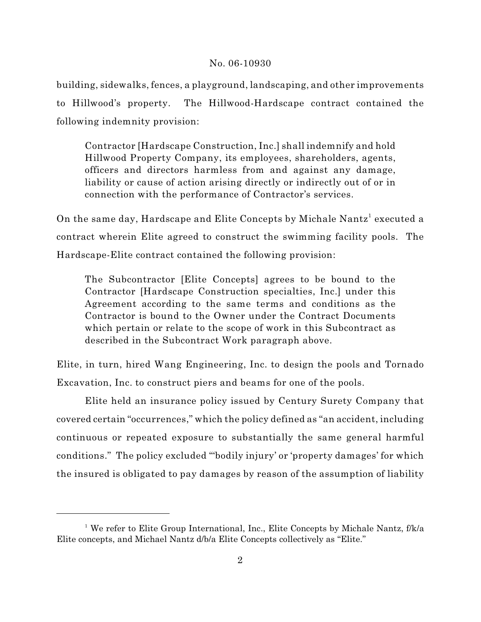building, sidewalks, fences, a playground, landscaping, and other improvements to Hillwood's property. The Hillwood-Hardscape contract contained the following indemnity provision:

Contractor [Hardscape Construction, Inc.] shall indemnify and hold Hillwood Property Company, its employees, shareholders, agents, officers and directors harmless from and against any damage, liability or cause of action arising directly or indirectly out of or in connection with the performance of Contractor's services.

On the same day, Hardscape and Elite Concepts by Michale Nantz<sup>1</sup> executed a contract wherein Elite agreed to construct the swimming facility pools. The Hardscape-Elite contract contained the following provision:

The Subcontractor [Elite Concepts] agrees to be bound to the Contractor [Hardscape Construction specialties, Inc.] under this Agreement according to the same terms and conditions as the Contractor is bound to the Owner under the Contract Documents which pertain or relate to the scope of work in this Subcontract as described in the Subcontract Work paragraph above.

Elite, in turn, hired Wang Engineering, Inc. to design the pools and Tornado Excavation, Inc. to construct piers and beams for one of the pools.

Elite held an insurance policy issued by Century Surety Company that covered certain "occurrences," which the policy defined as "an accident, including continuous or repeated exposure to substantially the same general harmful conditions." The policy excluded "'bodily injury' or 'property damages' for which the insured is obligated to pay damages by reason of the assumption of liability

<sup>&</sup>lt;sup>1</sup> We refer to Elite Group International, Inc., Elite Concepts by Michale Nantz,  $f/k/a$ Elite concepts, and Michael Nantz d/b/a Elite Concepts collectively as "Elite."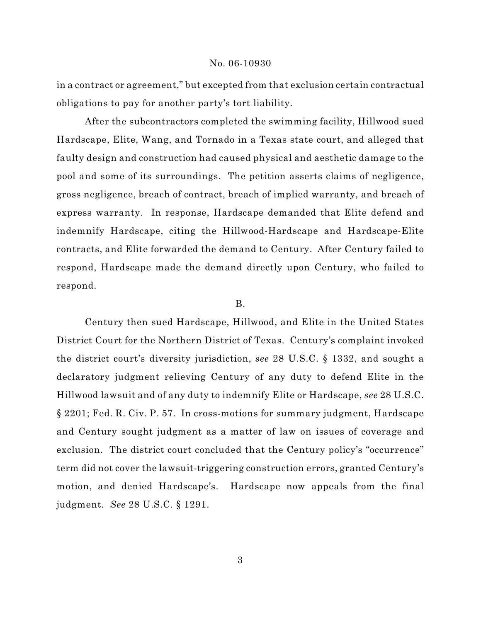in a contract or agreement," but excepted from that exclusion certain contractual obligations to pay for another party's tort liability.

After the subcontractors completed the swimming facility, Hillwood sued Hardscape, Elite, Wang, and Tornado in a Texas state court, and alleged that faulty design and construction had caused physical and aesthetic damage to the pool and some of its surroundings. The petition asserts claims of negligence, gross negligence, breach of contract, breach of implied warranty, and breach of express warranty. In response, Hardscape demanded that Elite defend and indemnify Hardscape, citing the Hillwood-Hardscape and Hardscape-Elite contracts, and Elite forwarded the demand to Century. After Century failed to respond, Hardscape made the demand directly upon Century, who failed to respond.

## B.

Century then sued Hardscape, Hillwood, and Elite in the United States District Court for the Northern District of Texas. Century's complaint invoked the district court's diversity jurisdiction, *see* 28 U.S.C. § 1332, and sought a declaratory judgment relieving Century of any duty to defend Elite in the Hillwood lawsuit and of any duty to indemnify Elite or Hardscape, *see* 28 U.S.C. § 2201; Fed. R. Civ. P. 57. In cross-motions for summary judgment, Hardscape and Century sought judgment as a matter of law on issues of coverage and exclusion. The district court concluded that the Century policy's "occurrence" term did not cover the lawsuit-triggering construction errors, granted Century's motion, and denied Hardscape's. Hardscape now appeals from the final judgment. *See* 28 U.S.C. § 1291.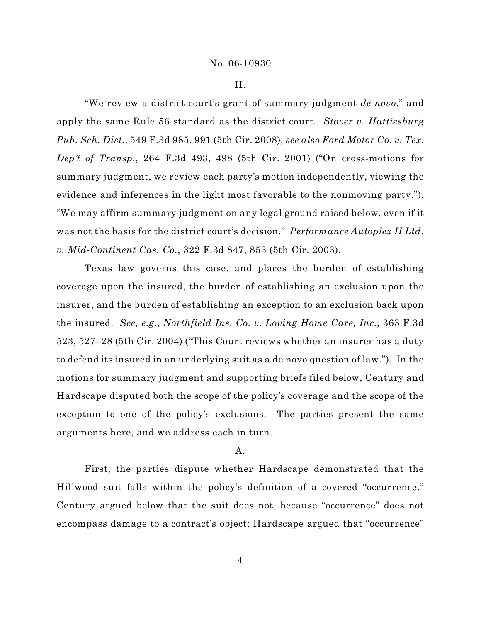II.

"We review a district court's grant of summary judgment *de novo*," and apply the same Rule 56 standard as the district court. *Stover v. Hattiesburg Pub. Sch. Dist.*, 549 F.3d 985, 991 (5th Cir. 2008); *see also Ford Motor Co. v. Tex. Dep't of Transp.*, 264 F.3d 493, 498 (5th Cir. 2001) ("On cross-motions for summary judgment, we review each party's motion independently, viewing the evidence and inferences in the light most favorable to the nonmoving party."). "We may affirm summary judgment on any legal ground raised below, even if it was not the basis for the district court's decision." *Performance Autoplex II Ltd. v. Mid-Continent Cas. Co.*, 322 F.3d 847, 853 (5th Cir. 2003).

Texas law governs this case, and places the burden of establishing coverage upon the insured, the burden of establishing an exclusion upon the insurer, and the burden of establishing an exception to an exclusion back upon the insured. *See, e.g.*, *Northfield Ins. Co. v. Loving Home Care, Inc.*, 363 F.3d 523, 527–28 (5th Cir. 2004) ("This Court reviews whether an insurer has a duty to defend its insured in an underlying suit as a de novo question of law."). In the motions for summary judgment and supporting briefs filed below, Century and Hardscape disputed both the scope of the policy's coverage and the scope of the exception to one of the policy's exclusions. The parties present the same arguments here, and we address each in turn.

## A.

First, the parties dispute whether Hardscape demonstrated that the Hillwood suit falls within the policy's definition of a covered "occurrence." Century argued below that the suit does not, because "occurrence" does not encompass damage to a contract's object; Hardscape argued that "occurrence"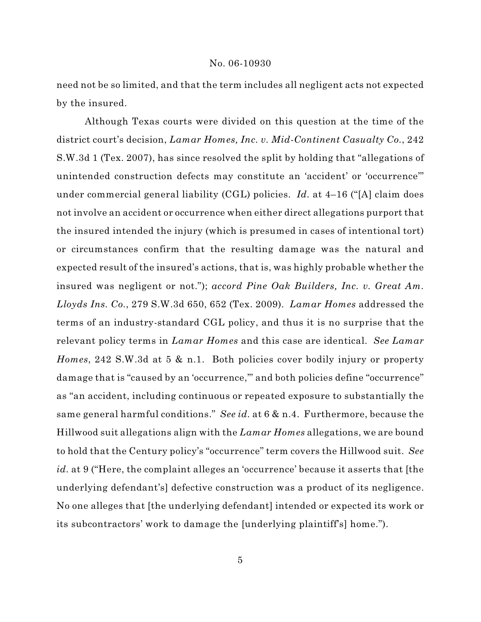need not be so limited, and that the term includes all negligent acts not expected by the insured.

Although Texas courts were divided on this question at the time of the district court's decision, *Lamar Homes, Inc. v. Mid-Continent Casualty Co.*, 242 S.W.3d 1 (Tex. 2007), has since resolved the split by holding that "allegations of unintended construction defects may constitute an 'accident' or 'occurrence'" under commercial general liability (CGL) policies. *Id.* at 4–16 ("[A] claim does not involve an accident or occurrence when either direct allegations purport that the insured intended the injury (which is presumed in cases of intentional tort) or circumstances confirm that the resulting damage was the natural and expected result of the insured's actions, that is, was highly probable whether the insured was negligent or not."); *accord Pine Oak Builders, Inc. v. Great Am. Lloyds Ins. Co.*, 279 S.W.3d 650, 652 (Tex. 2009). *Lamar Homes* addressed the terms of an industry-standard CGL policy, and thus it is no surprise that the relevant policy terms in *Lamar Homes* and this case are identical. *See Lamar Homes*, 242 S.W.3d at 5 & n.1. Both policies cover bodily injury or property damage that is "caused by an 'occurrence," and both policies define "occurrence" as "an accident, including continuous or repeated exposure to substantially the same general harmful conditions." *See id.* at 6 & n.4. Furthermore, because the Hillwood suit allegations align with the *Lamar Homes* allegations, we are bound to hold that the Century policy's "occurrence" term covers the Hillwood suit. *See id.* at 9 ("Here, the complaint alleges an 'occurrence' because it asserts that [the underlying defendant's] defective construction was a product of its negligence. No one alleges that [the underlying defendant] intended or expected its work or its subcontractors' work to damage the [underlying plaintiff's] home.").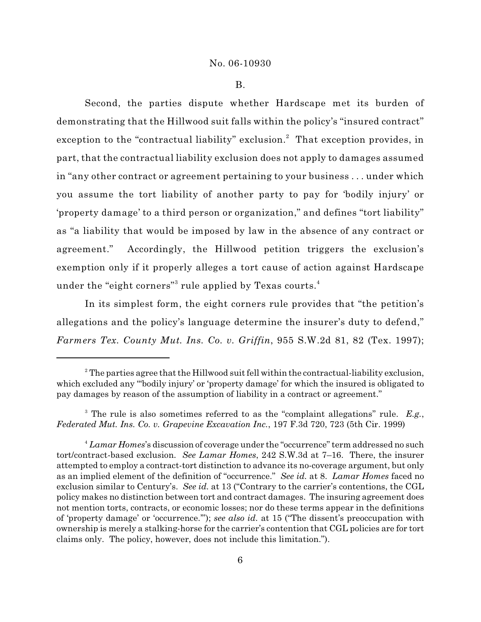B.

Second, the parties dispute whether Hardscape met its burden of demonstrating that the Hillwood suit falls within the policy's "insured contract" exception to the "contractual liability" exclusion.<sup>2</sup> That exception provides, in part, that the contractual liability exclusion does not apply to damages assumed in "any other contract or agreement pertaining to your business . . . under which you assume the tort liability of another party to pay for 'bodily injury' or 'property damage' to a third person or organization," and defines "tort liability" as "a liability that would be imposed by law in the absence of any contract or agreement." Accordingly, the Hillwood petition triggers the exclusion's exemption only if it properly alleges a tort cause of action against Hardscape under the "eight corners" $^3$  rule applied by Texas courts. $^4$ 

In its simplest form, the eight corners rule provides that "the petition's allegations and the policy's language determine the insurer's duty to defend," *Farmers Tex. County Mut. Ins. Co. v. Griffin*, 955 S.W.2d 81, 82 (Tex. 1997);

<sup>3</sup> The rule is also sometimes referred to as the "complaint allegations" rule. E.g., *Federated Mut. Ins. Co. v. Grapevine Excavation Inc.*, 197 F.3d 720, 723 (5th Cir. 1999)

 $^2$  The parties agree that the Hillwood suit fell within the contractual-liability exclusion, which excluded any "'bodily injury' or 'property damage' for which the insured is obligated to pay damages by reason of the assumption of liability in a contract or agreement."

*Lamar Homes*'s discussion of coverage under the "occurrence" term addressed no such <sup>4</sup> tort/contract-based exclusion. *See Lamar Homes*, 242 S.W.3d at 7–16. There, the insurer attempted to employ a contract-tort distinction to advance its no-coverage argument, but only as an implied element of the definition of "occurrence." *See id.* at 8. *Lamar Homes* faced no exclusion similar to Century's. *See id.* at 13 ("Contrary to the carrier's contentions, the CGL policy makes no distinction between tort and contract damages. The insuring agreement does not mention torts, contracts, or economic losses; nor do these terms appear in the definitions of 'property damage' or 'occurrence.'"); *see also id.* at 15 ("The dissent's preoccupation with ownership is merely a stalking-horse for the carrier's contention that CGL policies are for tort claims only. The policy, however, does not include this limitation.").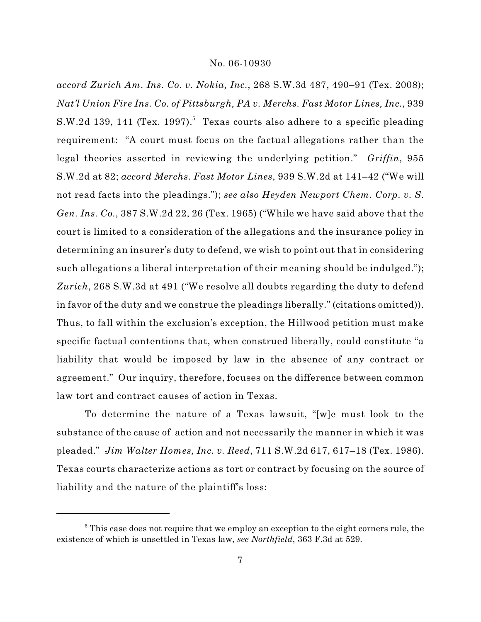*accord Zurich Am. Ins. Co. v. Nokia, Inc.*, 268 S.W.3d 487, 490–91 (Tex. 2008); *Nat'l Union Fire Ins. Co. of Pittsburgh, PA v. Merchs. Fast Motor Lines, Inc.*, 939 S.W.2d 139, 141 (Tex. 1997).<sup>5</sup> Texas courts also adhere to a specific pleading requirement: "A court must focus on the factual allegations rather than the legal theories asserted in reviewing the underlying petition." *Griffin*, 955 S.W.2d at 82; *accord Merchs. Fast Motor Lines*, 939 S.W.2d at 141–42 ("We will not read facts into the pleadings."); *see also Heyden Newport Chem. Corp. v. S. Gen. Ins. Co.*, 387 S.W.2d 22, 26 (Tex. 1965) ("While we have said above that the court is limited to a consideration of the allegations and the insurance policy in determining an insurer's duty to defend, we wish to point out that in considering such allegations a liberal interpretation of their meaning should be indulged."); *Zurich*, 268 S.W.3d at 491 ("We resolve all doubts regarding the duty to defend in favor of the duty and we construe the pleadings liberally." (citations omitted)). Thus, to fall within the exclusion's exception, the Hillwood petition must make specific factual contentions that, when construed liberally, could constitute "a liability that would be imposed by law in the absence of any contract or agreement." Our inquiry, therefore, focuses on the difference between common law tort and contract causes of action in Texas.

To determine the nature of a Texas lawsuit, "[w]e must look to the substance of the cause of action and not necessarily the manner in which it was pleaded." *Jim Walter Homes, Inc. v. Reed*, 711 S.W.2d 617, 617–18 (Tex. 1986). Texas courts characterize actions as tort or contract by focusing on the source of liability and the nature of the plaintiff's loss:

 $\delta$  This case does not require that we employ an exception to the eight corners rule, the existence of which is unsettled in Texas law, *see Northfield*, 363 F.3d at 529.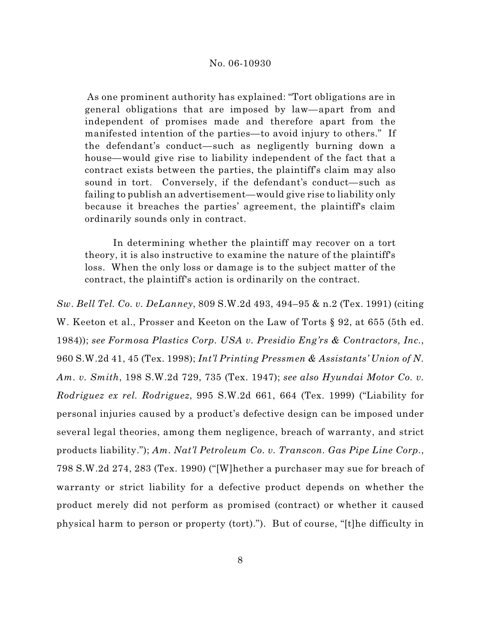As one prominent authority has explained: "Tort obligations are in general obligations that are imposed by law—apart from and independent of promises made and therefore apart from the manifested intention of the parties—to avoid injury to others." If the defendant's conduct—such as negligently burning down a house—would give rise to liability independent of the fact that a contract exists between the parties, the plaintiff's claim may also sound in tort. Conversely, if the defendant's conduct—such as failing to publish an advertisement—would give rise to liability only because it breaches the parties' agreement, the plaintiff's claim ordinarily sounds only in contract.

In determining whether the plaintiff may recover on a tort theory, it is also instructive to examine the nature of the plaintiff's loss. When the only loss or damage is to the subject matter of the contract, the plaintiff's action is ordinarily on the contract.

*Sw. Bell Tel. Co. v. DeLanney*, 809 S.W.2d 493, 494–95 & n.2 (Tex. 1991) (citing W. Keeton et al., Prosser and Keeton on the Law of Torts § 92, at 655 (5th ed. 1984)); *see Formosa Plastics Corp. USA v. Presidio Eng'rs & Contractors, Inc.*, 960 S.W.2d 41, 45 (Tex. 1998); *Int'l Printing Pressmen & Assistants' Union of N. Am. v. Smith*, 198 S.W.2d 729, 735 (Tex. 1947); *see also Hyundai Motor Co. v. Rodriguez ex rel. Rodriguez*, 995 S.W.2d 661, 664 (Tex. 1999) ("Liability for personal injuries caused by a product's defective design can be imposed under several legal theories, among them negligence, breach of warranty, and strict products liability."); *Am. Nat'l Petroleum Co. v. Transcon. Gas Pipe Line Corp.*, 798 S.W.2d 274, 283 (Tex. 1990) ("[W]hether a purchaser may sue for breach of warranty or strict liability for a defective product depends on whether the product merely did not perform as promised (contract) or whether it caused physical harm to person or property (tort)."). But of course, "[t]he difficulty in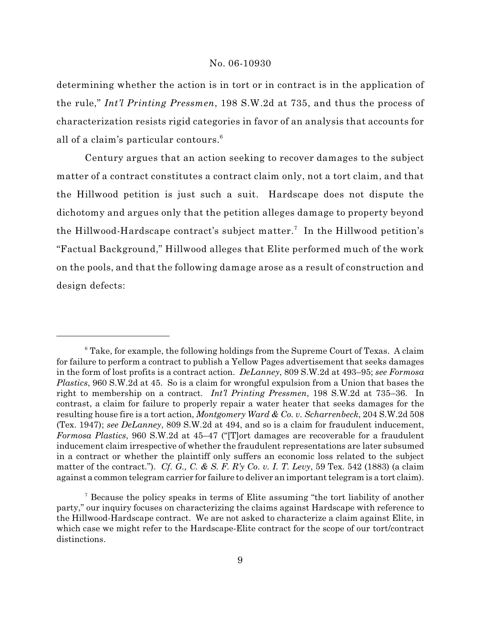determining whether the action is in tort or in contract is in the application of the rule," *Int'l Printing Pressmen*, 198 S.W.2d at 735, and thus the process of characterization resists rigid categories in favor of an analysis that accounts for all of a claim's particular contours.<sup>6</sup>

Century argues that an action seeking to recover damages to the subject matter of a contract constitutes a contract claim only, not a tort claim, and that the Hillwood petition is just such a suit. Hardscape does not dispute the dichotomy and argues only that the petition alleges damage to property beyond the Hillwood-Hardscape contract's subject matter.<sup>7</sup> In the Hillwood petition's "Factual Background," Hillwood alleges that Elite performed much of the work on the pools, and that the following damage arose as a result of construction and design defects:

<sup>&</sup>lt;sup>6</sup> Take, for example, the following holdings from the Supreme Court of Texas. A claim for failure to perform a contract to publish a Yellow Pages advertisement that seeks damages in the form of lost profits is a contract action. *DeLanney*, 809 S.W.2d at 493–95; *see Formosa Plastics*, 960 S.W.2d at 45. So is a claim for wrongful expulsion from a Union that bases the right to membership on a contract. *Int'l Printing Pressmen*, 198 S.W.2d at 735–36. In contrast, a claim for failure to properly repair a water heater that seeks damages for the resulting house fire is a tort action, *Montgomery Ward & Co. v. Scharrenbeck*, 204 S.W.2d 508 (Tex. 1947); *see DeLanney*, 809 S.W.2d at 494, and so is a claim for fraudulent inducement, *Formosa Plastics*, 960 S.W.2d at 45–47 ("[T]ort damages are recoverable for a fraudulent inducement claim irrespective of whether the fraudulent representations are later subsumed in a contract or whether the plaintiff only suffers an economic loss related to the subject matter of the contract."). *Cf. G., C. & S. F. R'y Co. v. I. T. Levy*, 59 Tex. 542 (1883) (a claim against a common telegram carrier for failure to deliver an important telegram is a tort claim).

<sup>&</sup>lt;sup>7</sup> Because the policy speaks in terms of Elite assuming "the tort liability of another party," our inquiry focuses on characterizing the claims against Hardscape with reference to the Hillwood-Hardscape contract. We are not asked to characterize a claim against Elite, in which case we might refer to the Hardscape-Elite contract for the scope of our tort/contract distinctions.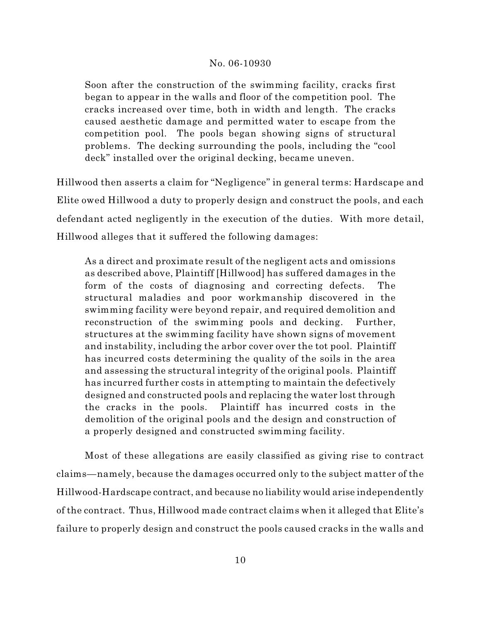Soon after the construction of the swimming facility, cracks first began to appear in the walls and floor of the competition pool. The cracks increased over time, both in width and length. The cracks caused aesthetic damage and permitted water to escape from the competition pool. The pools began showing signs of structural problems. The decking surrounding the pools, including the "cool deck" installed over the original decking, became uneven.

Hillwood then asserts a claim for "Negligence" in general terms: Hardscape and Elite owed Hillwood a duty to properly design and construct the pools, and each defendant acted negligently in the execution of the duties. With more detail, Hillwood alleges that it suffered the following damages:

As a direct and proximate result of the negligent acts and omissions as described above, Plaintiff [Hillwood] has suffered damages in the form of the costs of diagnosing and correcting defects. The structural maladies and poor workmanship discovered in the swimming facility were beyond repair, and required demolition and reconstruction of the swimming pools and decking. Further, structures at the swimming facility have shown signs of movement and instability, including the arbor cover over the tot pool. Plaintiff has incurred costs determining the quality of the soils in the area and assessing the structural integrity of the original pools. Plaintiff has incurred further costs in attempting to maintain the defectively designed and constructed pools and replacing the water lost through the cracks in the pools. Plaintiff has incurred costs in the demolition of the original pools and the design and construction of a properly designed and constructed swimming facility.

Most of these allegations are easily classified as giving rise to contract claims—namely, because the damages occurred only to the subject matter of the Hillwood-Hardscape contract, and because no liability would arise independently of the contract. Thus, Hillwood made contract claims when it alleged that Elite's failure to properly design and construct the pools caused cracks in the walls and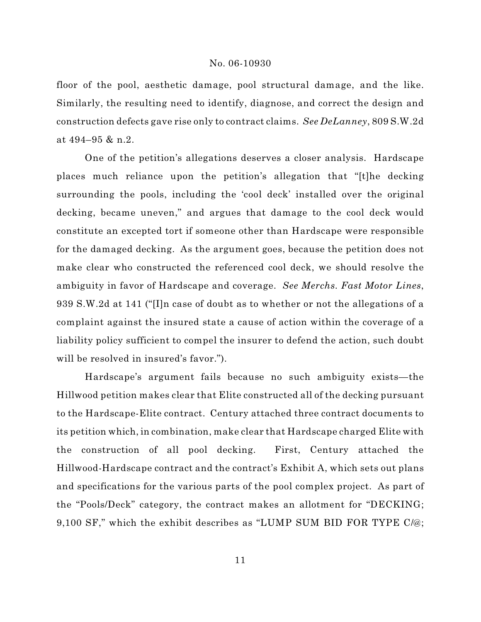floor of the pool, aesthetic damage, pool structural damage, and the like. Similarly, the resulting need to identify, diagnose, and correct the design and construction defects gave rise only to contract claims. *See DeLanney*, 809 S.W.2d at 494–95 & n.2.

One of the petition's allegations deserves a closer analysis. Hardscape places much reliance upon the petition's allegation that "[t]he decking surrounding the pools, including the 'cool deck' installed over the original decking, became uneven," and argues that damage to the cool deck would constitute an excepted tort if someone other than Hardscape were responsible for the damaged decking. As the argument goes, because the petition does not make clear who constructed the referenced cool deck, we should resolve the ambiguity in favor of Hardscape and coverage. *See Merchs. Fast Motor Lines*, 939 S.W.2d at 141 ("[I]n case of doubt as to whether or not the allegations of a complaint against the insured state a cause of action within the coverage of a liability policy sufficient to compel the insurer to defend the action, such doubt will be resolved in insured's favor.").

Hardscape's argument fails because no such ambiguity exists—the Hillwood petition makes clear that Elite constructed all of the decking pursuant to the Hardscape-Elite contract. Century attached three contract documents to its petition which, in combination, make clear that Hardscape charged Elite with the construction of all pool decking. First, Century attached the Hillwood-Hardscape contract and the contract's Exhibit A, which sets out plans and specifications for the various parts of the pool complex project. As part of the "Pools/Deck" category, the contract makes an allotment for "DECKING; 9,100 SF," which the exhibit describes as "LUMP SUM BID FOR TYPE C/@;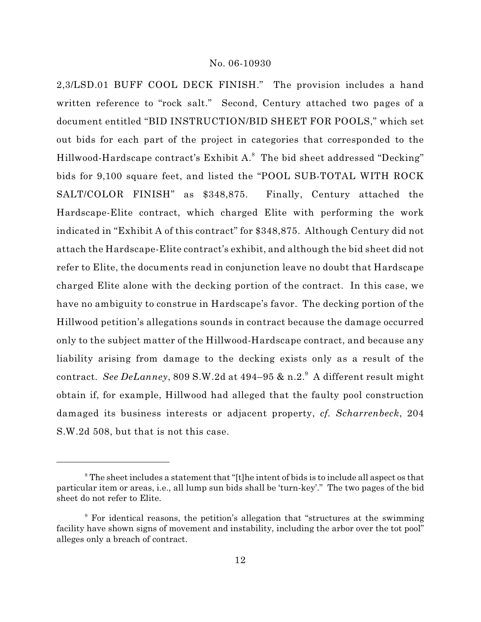2,3/LSD.01 BUFF COOL DECK FINISH." The provision includes a hand written reference to "rock salt." Second, Century attached two pages of a document entitled "BID INSTRUCTION/BID SHEET FOR POOLS," which set out bids for each part of the project in categories that corresponded to the Hillwood-Hardscape contract's Exhibit A.<sup>8</sup> The bid sheet addressed "Decking" bids for 9,100 square feet, and listed the "POOL SUB-TOTAL WITH ROCK SALT/COLOR FINISH" as \$348,875. Finally, Century attached the Hardscape-Elite contract, which charged Elite with performing the work indicated in "Exhibit A of this contract" for \$348,875. Although Century did not attach the Hardscape-Elite contract's exhibit, and although the bid sheet did not refer to Elite, the documents read in conjunction leave no doubt that Hardscape charged Elite alone with the decking portion of the contract. In this case, we have no ambiguity to construe in Hardscape's favor. The decking portion of the Hillwood petition's allegations sounds in contract because the damage occurred only to the subject matter of the Hillwood-Hardscape contract, and because any liability arising from damage to the decking exists only as a result of the contract. *See DeLanney*, 809 S.W.2d at 494–95 & n.2.<sup>9</sup> A different result might obtain if, for example, Hillwood had alleged that the faulty pool construction damaged its business interests or adjacent property, *cf. Scharrenbeck*, 204 S.W.2d 508, but that is not this case.

 $\textsuperscript{s}$  The sheet includes a statement that "[t]he intent of bids is to include all aspect os that particular item or areas, i.e., all lump sun bids shall be 'turn-key'." The two pages of the bid sheet do not refer to Elite.

<sup>&</sup>lt;sup>9</sup> For identical reasons, the petition's allegation that "structures at the swimming facility have shown signs of movement and instability, including the arbor over the tot pool" alleges only a breach of contract.